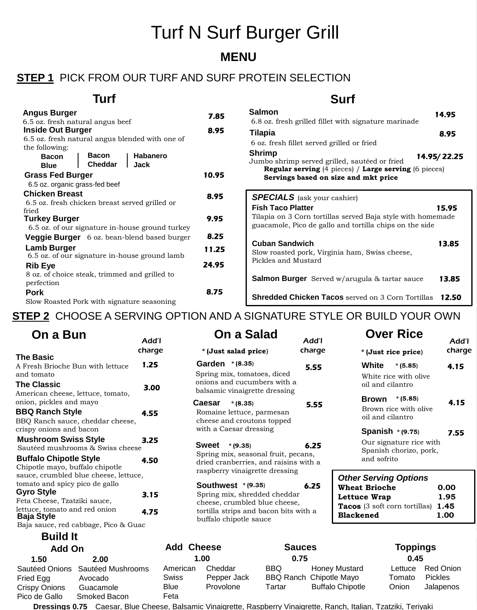# Turf N Surf Burger Grill

### **MENU**

### **STEP 1** PICK FROM OUR TURF AND SURF PROTEIN SELECTION

#### **Turf Surf**

| <b>Angus Burger</b><br>6.5 oz. fresh natural angus beef                                                                                          | 7.85  | <b>Salmon</b><br>6.8 oz. fresh grilled fillet with signature marinade                                                          | 14.95               |  |  |
|--------------------------------------------------------------------------------------------------------------------------------------------------|-------|--------------------------------------------------------------------------------------------------------------------------------|---------------------|--|--|
| <b>Inside Out Burger</b><br>6.5 oz. fresh natural angus blended with one of<br>the following:<br><b>Bacon</b><br><b>Habanero</b><br><b>Bacon</b> | 8.95  | <b>Tilapia</b><br>6 oz. fresh fillet served grilled or fried<br><b>Shrimp</b><br>Jumbo shrimp served grilled, sautéed or fried | 8.95<br>14.95/22.25 |  |  |
| <b>Cheddar</b><br>Jack<br><b>Blue</b><br><b>Grass Fed Burger</b><br>6.5 oz. organic grass-fed beef                                               | 10.95 | <b>Regular serving</b> (4 pieces) / Large serving (6 pieces)<br>Servings based on size and mkt price                           |                     |  |  |
| <b>Chicken Breast</b><br>6.5 oz. fresh chicken breast served grilled or                                                                          | 8.95  | <b>SPECIALS</b> (ask your cashier)<br><b>Fish Taco Platter</b>                                                                 | 15.95               |  |  |
| fried<br><b>Turkey Burger</b><br>6.5 oz. of our signature in-house ground turkey                                                                 | 9.95  | Tilapia on 3 Corn tortillas served Baja style with homemade<br>guacamole, Pico de gallo and tortilla chips on the side         |                     |  |  |
| Veggie Burger 6 oz. bean-blend based burger                                                                                                      | 8.25  |                                                                                                                                |                     |  |  |
| <b>Lamb Burger</b><br>6.5 oz. of our signature in-house ground lamb                                                                              | 11.25 | <b>Cuban Sandwich</b><br>Slow roasted pork, Virginia ham, Swiss cheese,                                                        | 13.85               |  |  |
| <b>Rib Eye</b>                                                                                                                                   | 24.95 | Pickles and Mustard                                                                                                            |                     |  |  |
| 8 oz. of choice steak, trimmed and grilled to<br>perfection                                                                                      |       | <b>Salmon Burger</b> Served w/arugula & tartar sauce                                                                           | 13.85               |  |  |
| <b>Pork</b><br>Slow Roasted Pork with signature seasoning                                                                                        | 8.75  | <b>Shredded Chicken Tacos</b> served on 3 Corn Tortillas                                                                       | 12.50               |  |  |

**STEP 2** CHOOSE A SERVING OPTION AND A SIGNATURE STYLE OR BUILD YOUR OWN

| On a Bun                                                                                                                                                                                                      |                                       | Add'l                                                                                           |                   | On a Salad                                                                                                                                                                                                                       |                                                                        | Add'I  |                                                                                                                                  | <b>Over Rice</b>                                           | Add'I                              |
|---------------------------------------------------------------------------------------------------------------------------------------------------------------------------------------------------------------|---------------------------------------|-------------------------------------------------------------------------------------------------|-------------------|----------------------------------------------------------------------------------------------------------------------------------------------------------------------------------------------------------------------------------|------------------------------------------------------------------------|--------|----------------------------------------------------------------------------------------------------------------------------------|------------------------------------------------------------|------------------------------------|
|                                                                                                                                                                                                               |                                       | charge                                                                                          |                   | * (Just salad price)                                                                                                                                                                                                             |                                                                        | charge |                                                                                                                                  | * (Just rice price)                                        | charge                             |
| <b>The Basic</b><br>A Fresh Brioche Bun with lettuce<br>and tomato<br><b>The Classic</b>                                                                                                                      |                                       | 1.25                                                                                            |                   | Garden * (8.35)<br>Spring mix, tomatoes, diced<br>onions and cucumbers with a                                                                                                                                                    |                                                                        | 5.55   | White                                                                                                                            | $* (5.85)$<br>White rice with olive<br>oil and cilantro    | 4.15                               |
| American cheese, lettuce, tomato,<br>onion, pickles and mayo<br><b>BBQ Ranch Style</b>                                                                                                                        | BBQ Ranch sauce, cheddar cheese,      | 3.00<br>4.55                                                                                    |                   | balsamic vinaigrette dressing<br>Caesar<br>$* (8.35)$<br>Romaine lettuce, parmesan<br>cheese and croutons topped                                                                                                                 |                                                                        | 5.55   |                                                                                                                                  | Brown *(5.85)<br>Brown rice with olive<br>oil and cilantro | 4.15                               |
| crispy onions and bacon<br><b>Mushroom Swiss Style</b><br>3.25<br>Sautéed mushrooms & Swiss cheese                                                                                                            |                                       | with a Caesar dressing<br><b>Sweet</b> $*(9.35)$<br>6.25<br>Spring mix, seasonal fruit, pecans, |                   |                                                                                                                                                                                                                                  | Spanish $*(9.75)$<br>Our signature rice with<br>Spanish chorizo, pork, |        | 7.55                                                                                                                             |                                                            |                                    |
| <b>Buffalo Chipotle Style</b><br>Chipotle mayo, buffalo chipotle<br>tomato and spicy pico de gallo<br><b>Gyro Style</b><br>Feta Cheese, Tzatziki sauce,<br>lettuce, tomato and red onion<br><b>Baja Style</b> | sauce, crumbled blue cheese, lettuce, | 4.50<br>3.15<br>4.75                                                                            |                   | dried cranberries, and raisins with a<br>raspberry vinaigrette dressing<br>Southwest *(9.35)<br>Spring mix, shredded cheddar<br>cheese, crumbled blue cheese,<br>tortilla strips and bacon bits with a<br>buffalo chipotle sauce |                                                                        | 6.25   | <b>Other Serving Options</b><br><b>Wheat Brioche</b><br>Lettuce Wrap<br><b>Tacos</b> (3 soft corn tortillas)<br><b>Blackened</b> | and sofrito                                                | 0.00<br>1.95<br>1.45<br>1.00       |
| <b>Build It</b><br><b>Add On</b>                                                                                                                                                                              | Baja sauce, red cabbage, Pico & Guac  |                                                                                                 | <b>Add Cheese</b> |                                                                                                                                                                                                                                  | <b>Sauces</b>                                                          |        |                                                                                                                                  | <b>Toppings</b>                                            |                                    |
| 1.50<br>Sautéed Onions<br>Fried Egg                                                                                                                                                                           | 2.00<br>Sautéed Mushrooms<br>Avocado  |                                                                                                 | American<br>Swiss | 1.00<br>Cheddar<br>Pepper Jack                                                                                                                                                                                                   | 0.75<br><b>BBQ</b><br><b>BBQ Ranch Chipotle Mayo</b>                   |        | <b>Honey Mustard</b>                                                                                                             | 0.45<br>Lettuce<br>Tomato                                  | <b>Red Onion</b><br><b>Pickles</b> |

**Dressings 0.75** Caesar, Blue Cheese, Balsamic Vinaigrette, Raspberry Vinaigrette, Ranch, Italian, Tzatziki, Teriyaki

**Feta** 

Crispy Onions Guacamole Pico de Gallo Smoked Bacon Blue Provolone Tartar Buffalo Chipotle Onion

Pickles Jalapenos